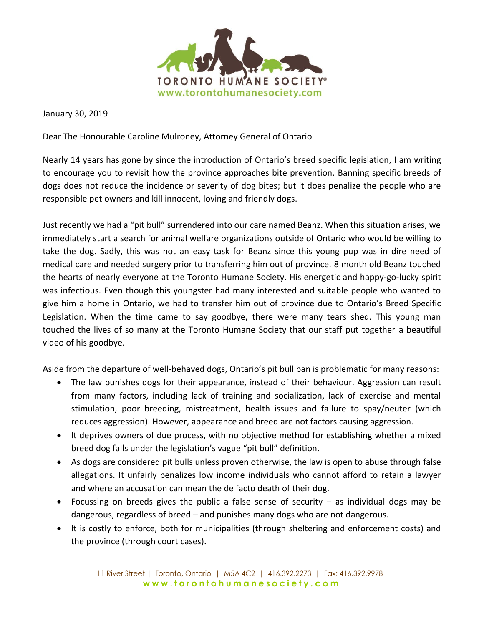

January 30, 2019

Dear The Honourable Caroline Mulroney, Attorney General of Ontario

Nearly 14 years has gone by since the introduction of Ontario's breed specific legislation, I am writing to encourage you to revisit how the province approaches bite prevention. Banning specific breeds of dogs does not reduce the incidence or severity of dog bites; but it does penalize the people who are responsible pet owners and kill innocent, loving and friendly dogs.

Just recently we had a "pit bull" surrendered into our care named Beanz. When this situation arises, we immediately start a search for animal welfare organizations outside of Ontario who would be willing to take the dog. Sadly, this was not an easy task for Beanz since this young pup was in dire need of medical care and needed surgery prior to transferring him out of province. 8 month old Beanz touched the hearts of nearly everyone at the Toronto Humane Society. His energetic and happy-go-lucky spirit was infectious. Even though this youngster had many interested and suitable people who wanted to give him a home in Ontario, we had to transfer him out of province due to Ontario's Breed Specific Legislation. When the time came to say goodbye, there were many tears shed. This young man touched the lives of so many at the Toronto Humane Society that our staff put together a beautiful video of his goodbye.

Aside from the departure of well-behaved dogs, Ontario's pit bull ban is problematic for many reasons:

- The law punishes dogs for their appearance, instead of their behaviour. Aggression can result from many factors, including lack of training and socialization, lack of exercise and mental stimulation, poor breeding, mistreatment, health issues and failure to spay/neuter (which reduces aggression). However, appearance and breed are not factors causing aggression.
- It deprives owners of due process, with no objective method for establishing whether a mixed breed dog falls under the legislation's vague "pit bull" definition.
- As dogs are considered pit bulls unless proven otherwise, the law is open to abuse through false allegations. It unfairly penalizes low income individuals who cannot afford to retain a lawyer and where an accusation can mean the de facto death of their dog.
- Focussing on breeds gives the public a false sense of security as individual dogs may be dangerous, regardless of breed – and punishes many dogs who are not dangerous.
- It is costly to enforce, both for municipalities (through sheltering and enforcement costs) and the province (through court cases).